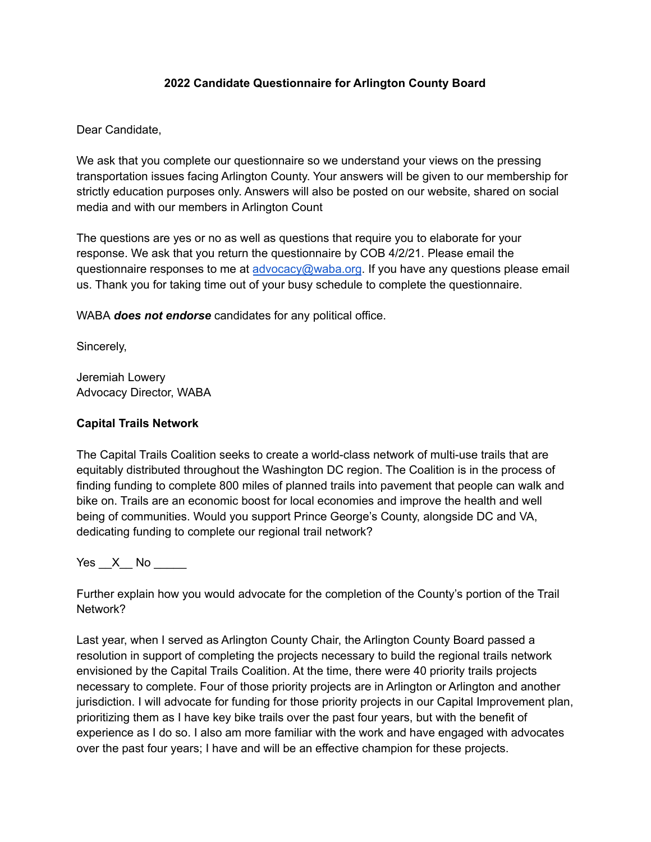## **2022 Candidate Questionnaire for Arlington County Board**

Dear Candidate,

We ask that you complete our questionnaire so we understand your views on the pressing transportation issues facing Arlington County. Your answers will be given to our membership for strictly education purposes only. Answers will also be posted on our website, shared on social media and with our members in Arlington Count

The questions are yes or no as well as questions that require you to elaborate for your response. We ask that you return the questionnaire by COB 4/2/21. Please email the questionnaire responses to me at [advocacy@waba.org](mailto:advocacy@waba.org). If you have any questions please email us. Thank you for taking time out of your busy schedule to complete the questionnaire.

WABA *does not endorse* candidates for any political office.

Sincerely,

Jeremiah Lowery Advocacy Director, WABA

## **Capital Trails Network**

The Capital Trails Coalition seeks to create a world-class network of multi-use trails that are equitably distributed throughout the Washington DC region. The Coalition is in the process of finding funding to complete 800 miles of planned trails into pavement that people can walk and bike on. Trails are an economic boost for local economies and improve the health and well being of communities. Would you support Prince George's County, alongside DC and VA, dedicating funding to complete our regional trail network?

Yes  $X$  No  $\blacksquare$ 

Further explain how you would advocate for the completion of the County's portion of the Trail Network?

Last year, when I served as Arlington County Chair, the Arlington County Board passed a resolution in support of completing the projects necessary to build the regional trails network envisioned by the Capital Trails Coalition. At the time, there were 40 priority trails projects necessary to complete. Four of those priority projects are in Arlington or Arlington and another jurisdiction. I will advocate for funding for those priority projects in our Capital Improvement plan, prioritizing them as I have key bike trails over the past four years, but with the benefit of experience as I do so. I also am more familiar with the work and have engaged with advocates over the past four years; I have and will be an effective champion for these projects.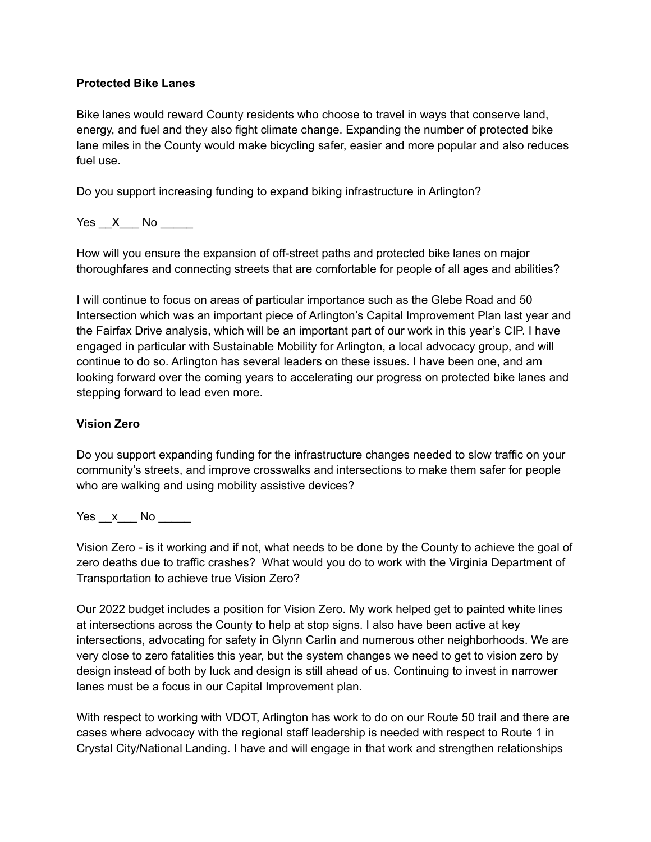#### **Protected Bike Lanes**

Bike lanes would reward County residents who choose to travel in ways that conserve land, energy, and fuel and they also fight climate change. Expanding the number of protected bike lane miles in the County would make bicycling safer, easier and more popular and also reduces fuel use.

Do you support increasing funding to expand biking infrastructure in Arlington?

Yes X No

How will you ensure the expansion of off-street paths and protected bike lanes on major thoroughfares and connecting streets that are comfortable for people of all ages and abilities?

I will continue to focus on areas of particular importance such as the Glebe Road and 50 Intersection which was an important piece of Arlington's Capital Improvement Plan last year and the Fairfax Drive analysis, which will be an important part of our work in this year's CIP. I have engaged in particular with Sustainable Mobility for Arlington, a local advocacy group, and will continue to do so. Arlington has several leaders on these issues. I have been one, and am looking forward over the coming years to accelerating our progress on protected bike lanes and stepping forward to lead even more.

# **Vision Zero**

Do you support expanding funding for the infrastructure changes needed to slow traffic on your community's streets, and improve crosswalks and intersections to make them safer for people who are walking and using mobility assistive devices?

Yes x No  $\blacksquare$ 

Vision Zero - is it working and if not, what needs to be done by the County to achieve the goal of zero deaths due to traffic crashes? What would you do to work with the Virginia Department of Transportation to achieve true Vision Zero?

Our 2022 budget includes a position for Vision Zero. My work helped get to painted white lines at intersections across the County to help at stop signs. I also have been active at key intersections, advocating for safety in Glynn Carlin and numerous other neighborhoods. We are very close to zero fatalities this year, but the system changes we need to get to vision zero by design instead of both by luck and design is still ahead of us. Continuing to invest in narrower lanes must be a focus in our Capital Improvement plan.

With respect to working with VDOT, Arlington has work to do on our Route 50 trail and there are cases where advocacy with the regional staff leadership is needed with respect to Route 1 in Crystal City/National Landing. I have and will engage in that work and strengthen relationships